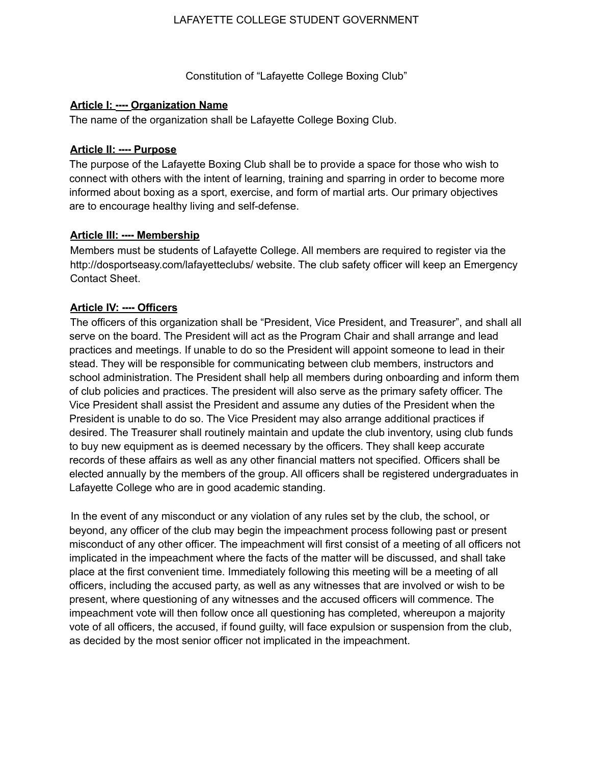### LAFAYETTE COLLEGE STUDENT GOVERNMENT

Constitution of "Lafayette College Boxing Club"

### **Article I: ---- Organization Name**

The name of the organization shall be Lafayette College Boxing Club.

# **Article II: ---- Purpose**

The purpose of the Lafayette Boxing Club shall be to provide a space for those who wish to connect with others with the intent of learning, training and sparring in order to become more informed about boxing as a sport, exercise, and form of martial arts. Our primary objectives are to encourage healthy living and self-defense.

# **Article III: ---- Membership**

Members must be students of Lafayette College. All members are required to register via the http://dosportseasy.com/lafayetteclubs/ website. The club safety officer will keep an Emergency Contact Sheet.

# **Article IV: ---- Officers**

The officers of this organization shall be "President, Vice President, and Treasurer", and shall all serve on the board. The President will act as the Program Chair and shall arrange and lead practices and meetings. If unable to do so the President will appoint someone to lead in their stead. They will be responsible for communicating between club members, instructors and school administration. The President shall help all members during onboarding and inform them of club policies and practices. The president will also serve as the primary safety officer. The Vice President shall assist the President and assume any duties of the President when the President is unable to do so. The Vice President may also arrange additional practices if desired. The Treasurer shall routinely maintain and update the club inventory, using club funds to buy new equipment as is deemed necessary by the officers. They shall keep accurate records of these affairs as well as any other financial matters not specified. Officers shall be elected annually by the members of the group. All officers shall be registered undergraduates in Lafayette College who are in good academic standing.

In the event of any misconduct or any violation of any rules set by the club, the school, or beyond, any officer of the club may begin the impeachment process following past or present misconduct of any other officer. The impeachment will first consist of a meeting of all officers not implicated in the impeachment where the facts of the matter will be discussed, and shall take place at the first convenient time. Immediately following this meeting will be a meeting of all officers, including the accused party, as well as any witnesses that are involved or wish to be present, where questioning of any witnesses and the accused officers will commence. The impeachment vote will then follow once all questioning has completed, whereupon a majority vote of all officers, the accused, if found guilty, will face expulsion or suspension from the club, as decided by the most senior officer not implicated in the impeachment.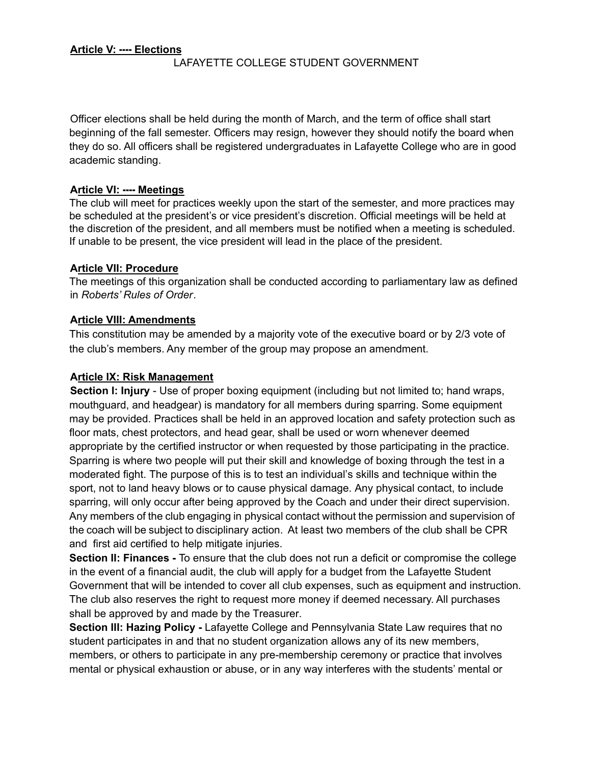LAFAYETTE COLLEGE STUDENT GOVERNMENT

Officer elections shall be held during the month of March, and the term of office shall start beginning of the fall semester. Officers may resign, however they should notify the board when they do so. All officers shall be registered undergraduates in Lafayette College who are in good academic standing.

### **Article VI: ---- Meetings**

The club will meet for practices weekly upon the start of the semester, and more practices may be scheduled at the president's or vice president's discretion. Official meetings will be held at the discretion of the president, and all members must be notified when a meeting is scheduled. If unable to be present, the vice president will lead in the place of the president.

### **Article VII: Procedure**

The meetings of this organization shall be conducted according to parliamentary law as defined in *Roberts' Rules of Order*.

### **Article VIII: Amendments**

This constitution may be amended by a majority vote of the executive board or by 2/3 vote of the club's members. Any member of the group may propose an amendment.

### **Article IX: Risk Management**

**Section I: Injury** - Use of proper boxing equipment (including but not limited to; hand wraps, mouthguard, and headgear) is mandatory for all members during sparring. Some equipment may be provided. Practices shall be held in an approved location and safety protection such as floor mats, chest protectors, and head gear, shall be used or worn whenever deemed appropriate by the certified instructor or when requested by those participating in the practice. Sparring is where two people will put their skill and knowledge of boxing through the test in a moderated fight. The purpose of this is to test an individual's skills and technique within the sport, not to land heavy blows or to cause physical damage. Any physical contact, to include sparring, will only occur after being approved by the Coach and under their direct supervision. Any members of the club engaging in physical contact without the permission and supervision of the coach will be subject to disciplinary action. At least two members of the club shall be CPR and first aid certified to help mitigate injuries.

**Section II: Finances -** To ensure that the club does not run a deficit or compromise the college in the event of a financial audit, the club will apply for a budget from the Lafayette Student Government that will be intended to cover all club expenses, such as equipment and instruction. The club also reserves the right to request more money if deemed necessary. All purchases shall be approved by and made by the Treasurer.

**Section III: Hazing Policy -** Lafayette College and Pennsylvania State Law requires that no student participates in and that no student organization allows any of its new members, members, or others to participate in any pre-membership ceremony or practice that involves mental or physical exhaustion or abuse, or in any way interferes with the students' mental or